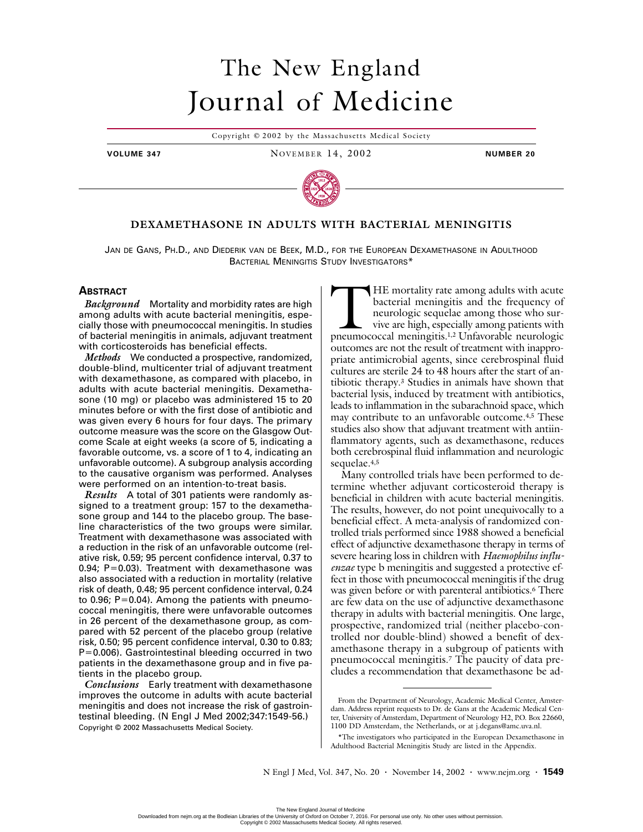# The New England Journal of Medicine

Copyright © 2002 by the Massachusetts Medical Society

**VOLUME 347** NOVEMBER 14, 2002 **NUMBER 20** 



## **DEXAMETHASONE IN ADULTS WITH BACTERIAL MENINGITIS**

JAN DE GANS, PH.D., AND DIEDERIK VAN DE BEEK, M.D., FOR THE EUROPEAN DEXAMETHASONE IN ADULTHOOD BACTERIAL MENINGITIS STUDY INVESTIGATORS\*

### **ABSTRACT**

*Background* Mortality and morbidity rates are high among adults with acute bacterial meningitis, especially those with pneumococcal meningitis. In studies of bacterial meningitis in animals, adjuvant treatment with corticosteroids has beneficial effects.

*Methods* We conducted a prospective, randomized, double-blind, multicenter trial of adjuvant treatment with dexamethasone, as compared with placebo, in adults with acute bacterial meningitis. Dexamethasone (10 mg) or placebo was administered 15 to 20 minutes before or with the first dose of antibiotic and was given every 6 hours for four days. The primary outcome measure was the score on the Glasgow Outcome Scale at eight weeks (a score of 5, indicating a favorable outcome, vs. a score of 1 to 4, indicating an unfavorable outcome). A subgroup analysis according to the causative organism was performed. Analyses were performed on an intention-to-treat basis.

*Results* A total of 301 patients were randomly assigned to a treatment group: 157 to the dexamethasone group and 144 to the placebo group. The baseline characteristics of the two groups were similar. Treatment with dexamethasone was associated with a reduction in the risk of an unfavorable outcome (relative risk, 0.59; 95 percent confidence interval, 0.37 to  $0.94$ ; P=0.03). Treatment with dexamethasone was also associated with a reduction in mortality (relative risk of death, 0.48; 95 percent confidence interval, 0.24 to 0.96;  $P=0.04$ ). Among the patients with pneumococcal meningitis, there were unfavorable outcomes in 26 percent of the dexamethasone group, as compared with 52 percent of the placebo group (relative risk, 0.50; 95 percent confidence interval, 0.30 to 0.83; P=0.006). Gastrointestinal bleeding occurred in two patients in the dexamethasone group and in five patients in the placebo group.

*Conclusions* Early treatment with dexamethasone improves the outcome in adults with acute bacterial meningitis and does not increase the risk of gastrointestinal bleeding. (N Engl J Med 2002;347:1549-56.) Copyright © 2002 Massachusetts Medical Society.

HE mortality rate among adults with acute bacterial meningitis and the frequency of neurologic sequelae among those who survive are high, especially among patients with THE mortality rate among adults with acute bacterial meningitis and the frequency of neurologic sequelae among those who survive are high, especially among patients with pneumococcal meningitis.<sup>1,2</sup> Unfavorable neurologic outcomes are not the result of treatment with inappropriate antimicrobial agents, since cerebrospinal fluid cultures are sterile 24 to 48 hours after the start of antibiotic therapy.3 Studies in animals have shown that bacterial lysis, induced by treatment with antibiotics, leads to inflammation in the subarachnoid space, which may contribute to an unfavorable outcome.4,5 These studies also show that adjuvant treatment with antiinflammatory agents, such as dexamethasone, reduces both cerebrospinal fluid inflammation and neurologic sequelae.4,5

Many controlled trials have been performed to determine whether adjuvant corticosteroid therapy is beneficial in children with acute bacterial meningitis. The results, however, do not point unequivocally to a beneficial effect. A meta-analysis of randomized controlled trials performed since 1988 showed a beneficial effect of adjunctive dexamethasone therapy in terms of severe hearing loss in children with *Haemophilus influenzae* type b meningitis and suggested a protective effect in those with pneumococcal meningitis if the drug was given before or with parenteral antibiotics.<sup>6</sup> There are few data on the use of adjunctive dexamethasone therapy in adults with bacterial meningitis. One large, prospective, randomized trial (neither placebo-controlled nor double-blind) showed a benefit of dexamethasone therapy in a subgroup of patients with pneumococcal meningitis.7 The paucity of data precludes a recommendation that dexamethasone be ad-

From the Department of Neurology, Academic Medical Center, Amsterdam. Address reprint requests to Dr. de Gans at the Academic Medical Center, University of Amsterdam, Department of Neurology H2, P.O. Box 22660, 1100 DD Amsterdam, the Netherlands, or at j.degans@amc.uva.nl.

<sup>\*</sup>The investigators who participated in the European Dexamethasone in Adulthood Bacterial Meningitis Study are listed in the Appendix.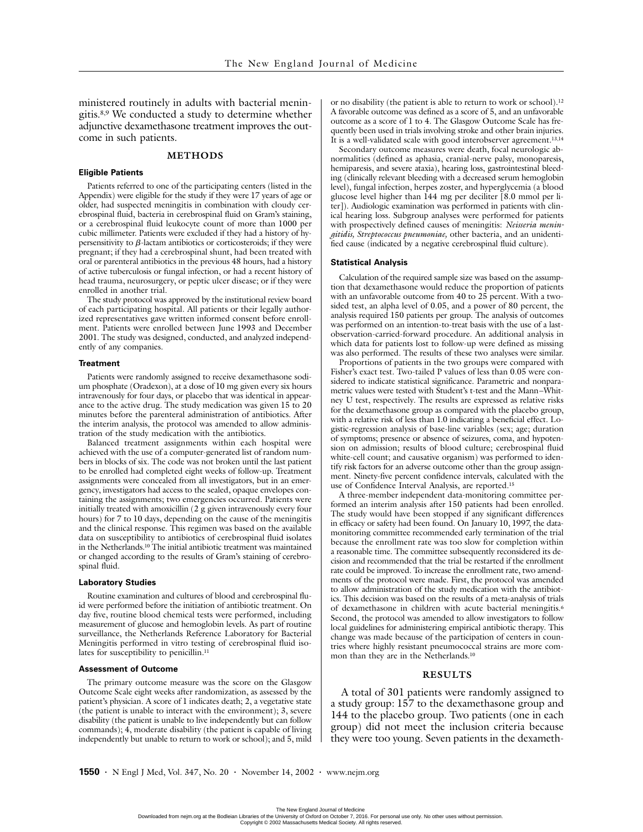ministered routinely in adults with bacterial meningitis.8,9 We conducted a study to determine whether adjunctive dexamethasone treatment improves the outcome in such patients.

## **METHODS**

#### **Eligible Patients**

Patients referred to one of the participating centers (listed in the Appendix) were eligible for the study if they were 17 years of age or older, had suspected meningitis in combination with cloudy cerebrospinal fluid, bacteria in cerebrospinal fluid on Gram's staining, or a cerebrospinal fluid leukocyte count of more than 1000 per cubic millimeter. Patients were excluded if they had a history of hypersensitivity to  $\beta$ -lactam antibiotics or corticosteroids; if they were pregnant; if they had a cerebrospinal shunt, had been treated with oral or parenteral antibiotics in the previous 48 hours, had a history of active tuberculosis or fungal infection, or had a recent history of head trauma, neurosurgery, or peptic ulcer disease; or if they were enrolled in another trial.

The study protocol was approved by the institutional review board of each participating hospital. All patients or their legally authorized representatives gave written informed consent before enrollment. Patients were enrolled between June 1993 and December 2001. The study was designed, conducted, and analyzed independently of any companies.

#### **Treatment**

Patients were randomly assigned to receive dexamethasone sodium phosphate (Oradexon), at a dose of 10 mg given every six hours intravenously for four days, or placebo that was identical in appearance to the active drug. The study medication was given 15 to 20 minutes before the parenteral administration of antibiotics. After the interim analysis, the protocol was amended to allow administration of the study medication with the antibiotics.

Balanced treatment assignments within each hospital were achieved with the use of a computer-generated list of random numbers in blocks of six. The code was not broken until the last patient to be enrolled had completed eight weeks of follow-up. Treatment assignments were concealed from all investigators, but in an emergency, investigators had access to the sealed, opaque envelopes containing the assignments; two emergencies occurred. Patients were initially treated with amoxicillin (2 g given intravenously every four hours) for 7 to 10 days, depending on the cause of the meningitis and the clinical response. This regimen was based on the available data on susceptibility to antibiotics of cerebrospinal fluid isolates in the Netherlands.10 The initial antibiotic treatment was maintained or changed according to the results of Gram's staining of cerebrospinal fluid.

#### **Laboratory Studies**

Routine examination and cultures of blood and cerebrospinal fluid were performed before the initiation of antibiotic treatment. On day five, routine blood chemical tests were performed, including measurement of glucose and hemoglobin levels. As part of routine surveillance, the Netherlands Reference Laboratory for Bacterial Meningitis performed in vitro testing of cerebrospinal fluid isolates for susceptibility to penicillin.<sup>11</sup>

### **Assessment of Outcome**

The primary outcome measure was the score on the Glasgow Outcome Scale eight weeks after randomization, as assessed by the patient's physician. A score of 1 indicates death; 2, a vegetative state (the patient is unable to interact with the environment); 3, severe disability (the patient is unable to live independently but can follow commands); 4, moderate disability (the patient is capable of living independently but unable to return to work or school); and 5, mild or no disability (the patient is able to return to work or school).12 A favorable outcome was defined as a score of 5, and an unfavorable outcome as a score of 1 to 4. The Glasgow Outcome Scale has frequently been used in trials involving stroke and other brain injuries. It is a well-validated scale with good interobserver agreement.13,14

Secondary outcome measures were death, focal neurologic abnormalities (defined as aphasia, cranial-nerve palsy, monoparesis, hemiparesis, and severe ataxia), hearing loss, gastrointestinal bleeding (clinically relevant bleeding with a decreased serum hemoglobin level), fungal infection, herpes zoster, and hyperglycemia (a blood glucose level higher than 144 mg per deciliter [8.0 mmol per liter]). Audiologic examination was performed in patients with clinical hearing loss. Subgroup analyses were performed for patients with prospectively defined causes of meningitis: *Neisseria meningitidis, Streptococcus pneumoniae,* other bacteria, and an unidentified cause (indicated by a negative cerebrospinal fluid culture).

#### **Statistical Analysis**

Calculation of the required sample size was based on the assumption that dexamethasone would reduce the proportion of patients with an unfavorable outcome from 40 to 25 percent. With a twosided test, an alpha level of 0.05, and a power of 80 percent, the analysis required 150 patients per group. The analysis of outcomes was performed on an intention-to-treat basis with the use of a lastobservation-carried-forward procedure. An additional analysis in which data for patients lost to follow-up were defined as missing was also performed. The results of these two analyses were similar.

Proportions of patients in the two groups were compared with Fisher's exact test. Two-tailed P values of less than 0.05 were considered to indicate statistical significance. Parametric and nonparametric values were tested with Student's t-test and the Mann–Whitney U test, respectively. The results are expressed as relative risks for the dexamethasone group as compared with the placebo group, with a relative risk of less than 1.0 indicating a beneficial effect. Logistic-regression analysis of base-line variables (sex; age; duration of symptoms; presence or absence of seizures, coma, and hypotension on admission; results of blood culture; cerebrospinal fluid white-cell count; and causative organism) was performed to identify risk factors for an adverse outcome other than the group assignment. Ninety-five percent confidence intervals, calculated with the use of Confidence Interval Analysis, are reported.15

A three-member independent data-monitoring committee performed an interim analysis after 150 patients had been enrolled. The study would have been stopped if any significant differences in efficacy or safety had been found. On January 10, 1997, the datamonitoring committee recommended early termination of the trial because the enrollment rate was too slow for completion within a reasonable time. The committee subsequently reconsidered its decision and recommended that the trial be restarted if the enrollment rate could be improved. To increase the enrollment rate, two amendments of the protocol were made. First, the protocol was amended to allow administration of the study medication with the antibiotics. This decision was based on the results of a meta-analysis of trials of dexamethasone in children with acute bacterial meningitis.<sup>6</sup> Second, the protocol was amended to allow investigators to follow local guidelines for administering empirical antibiotic therapy. This change was made because of the participation of centers in countries where highly resistant pneumococcal strains are more common than they are in the Netherlands.10

#### **RESULTS**

A total of 301 patients were randomly assigned to a study group: 157 to the dexamethasone group and 144 to the placebo group. Two patients (one in each group) did not meet the inclusion criteria because they were too young. Seven patients in the dexameth-

**1550 ·** N Engl J Med, Vol. 347, No. 20 **·** November 14, 2002 **·** www.nejm.org

The New England Journal of Medicine<br>Downloaded from nejm.org at the Bodleian Libraries of the University of Oxford on October 7, 2016. For personal use only. No other uses without permission. Copyright © 2002 Massachusetts Medical Society. All rights reserved.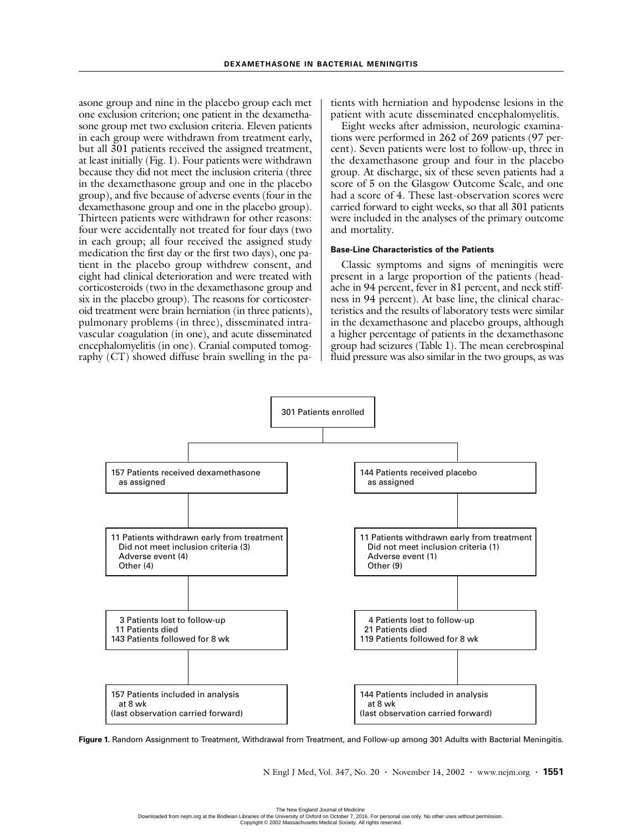asone group and nine in the placebo group each met one exclusion criterion; one patient in the dexamethasone group met two exclusion criteria. Eleven patients in each group were withdrawn from treatment early, but all 301 patients received the assigned treatment, at least initially (Fig. 1). Four patients were withdrawn because they did not meet the inclusion criteria (three in the dexamethasone group and one in the placebo group), and five because of adverse events (four in the dexamethasone group and one in the placebo group). Thirteen patients were withdrawn for other reasons: four were accidentally not treated for four days (two in each group; all four received the assigned study medication the first day or the first two days), one patient in the placebo group withdrew consent, and eight had clinical deterioration and were treated with corticosteroids (two in the dexamethasone group and six in the placebo group). The reasons for corticosteroid treatment were brain herniation (in three patients), pulmonary problems (in three), disseminated intravascular coagulation (in one), and acute disseminated encephalomyelitis (in one). Cranial computed tomography (CT) showed diffuse brain swelling in the pa-

tients with herniation and hypodense lesions in the patient with acute disseminated encephalomyelitis.

Eight weeks after admission, neurologic examinations were performed in 262 of 269 patients (97 percent). Seven patients were lost to follow-up, three in the dexamethasone group and four in the placebo group. At discharge, six of these seven patients had a score of 5 on the Glasgow Outcome Scale, and one had a score of 4. These last-observation scores were carried forward to eight weeks, so that all 301 patients were included in the analyses of the primary outcome and mortality.

#### **Base-Line Characteristics of the Patients**

Classic symptoms and signs of meningitis were present in a large proportion of the patients (headache in 94 percent, fever in 81 percent, and neck stiffness in 94 percent). At base line, the clinical characteristics and the results of laboratory tests were similar in the dexamethasone and placebo groups, although a higher percentage of patients in the dexamethasone group had seizures (Table 1). The mean cerebrospinal fluid pressure was also similar in the two groups, as was



**Figure 1.** Random Assignment to Treatment, Withdrawal from Treatment, and Follow-up among 301 Adults with Bacterial Meningitis.

N Engl J Med, Vol. 347, No. 20 **·** November 14, 2002 **·** www.nejm.org **· 1551**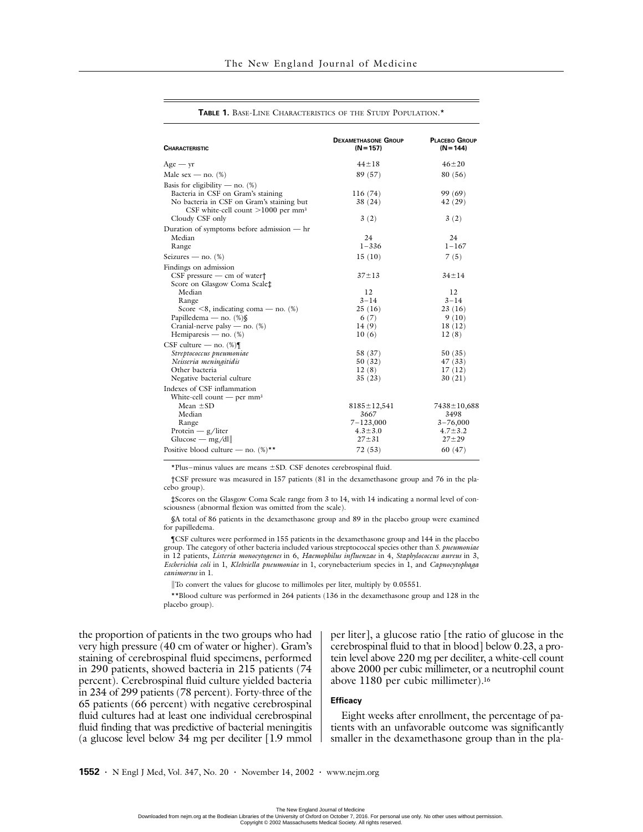| <b>CHARACTERISTIC</b>                                                                                                                                                                           | <b>DEXAMETHASONE GROUP</b><br>$(N = 157)$                                           | <b>PLACEBO GROUP</b><br>$(N = 144)$                                                |
|-------------------------------------------------------------------------------------------------------------------------------------------------------------------------------------------------|-------------------------------------------------------------------------------------|------------------------------------------------------------------------------------|
| $Age - yr$                                                                                                                                                                                      | $44 + 18$                                                                           | $46 \pm 20$                                                                        |
| Male sex — no. $(\%)$                                                                                                                                                                           | 89 (57)                                                                             | 80 (56)                                                                            |
| Basis for eligibility — no. $(\%)$<br>Bacteria in CSF on Gram's staining<br>No bacteria in CSF on Gram's staining but<br>CSF white-cell count $>1000$ per mm <sup>3</sup>                       | 116(74)<br>38(24)                                                                   | 99 (69)<br>42 (29)                                                                 |
| Cloudy CSF only                                                                                                                                                                                 | 3(2)                                                                                | 3(2)                                                                               |
| Duration of symptoms before admission — hr<br>Median<br>Range                                                                                                                                   | 24<br>$1 - 336$                                                                     | 24<br>$1 - 167$                                                                    |
| Seizures — no. $(\%)$                                                                                                                                                                           | 15(10)                                                                              | 7(5)                                                                               |
| Findings on admission<br>$CSF$ pressure $-$ cm of water†<br>Score on Glasgow Coma Scale‡<br>Median<br>Range<br>Score $\leq$ 8, indicating coma — no. $(\%)$                                     | $37 + 13$<br>12<br>$3 - 14$<br>25(16)                                               | $34 \pm 14$<br>12<br>$3 - 14$<br>23(16)                                            |
| Papilledema — no. $(\%)\$<br>Cranial-nerve palsy — no. $(\%)$<br>Hemiparesis — no. $(\%)$                                                                                                       | 6(7)<br>14(9)<br>10(6)                                                              | 9(10)<br>18(12)<br>12(8)                                                           |
| CSF culture — no. $(\%)$<br>Streptococcus pneumoniae<br>Neisseria meningitidis<br>Other bacteria<br>Negative bacterial culture                                                                  | 58 (37)<br>50(32)<br>12(8)<br>35(23)                                                | 50(35)<br>47 (33)<br>17(12)<br>30(21)                                              |
| Indexes of CSF inflammation<br>White-cell count $-$ per mm <sup>3</sup><br>Mean $\pm$ SD<br>Median<br>Range<br>Protein $-$ g/liter<br>Glucose - mg/dl <br>Positive blood culture — no. $(\%)^*$ | $8185 \pm 12,541$<br>3667<br>$7 - 123,000$<br>$4.3 \pm 3.0$<br>$27 + 31$<br>72 (53) | $7438 \pm 10,688$<br>3498<br>$3 - 76,000$<br>$4.7 \pm 3.2$<br>$27 + 29$<br>60 (47) |

**TABLE 1.** BASE-LINE CHARACTERISTICS OF THE STUDY POPULATION.\*

\*Plus–minus values are means ±SD. CSF denotes cerebrospinal fluid.

†CSF pressure was measured in 157 patients (81 in the dexamethasone group and 76 in the placebo group).

‡Scores on the Glasgow Coma Scale range from 3 to 14, with 14 indicating a normal level of consciousness (abnormal flexion was omitted from the scale).

§A total of 86 patients in the dexamethasone group and 89 in the placebo group were examined for papilledema.

¶CSF cultures were performed in 155 patients in the dexamethasone group and 144 in the placebo group. The category of other bacteria included various streptococcal species other than *S. pneumoniae* in 12 patients, *Listeria monocytogenes* in 6, *Haemophilus influenzae* in 4, *Staphylococcus aureus* in 3, *Escherichia coli* in 1, *Klebsiella pneumoniae* in 1, corynebacterium species in 1, and *Capnocytophaga canimorsus* in 1.

||To convert the values for glucose to millimoles per liter, multiply by 0.05551.

\*\*Blood culture was performed in 264 patients (136 in the dexamethasone group and 128 in the placebo group).

the proportion of patients in the two groups who had very high pressure (40 cm of water or higher). Gram's staining of cerebrospinal fluid specimens, performed in 290 patients, showed bacteria in 215 patients (74 percent). Cerebrospinal fluid culture yielded bacteria in 234 of 299 patients (78 percent). Forty-three of the 65 patients (66 percent) with negative cerebrospinal fluid cultures had at least one individual cerebrospinal fluid finding that was predictive of bacterial meningitis (a glucose level below 34 mg per deciliter [1.9 mmol per liter], a glucose ratio [the ratio of glucose in the cerebrospinal fluid to that in blood] below 0.23, a protein level above 220 mg per deciliter, a white-cell count above 2000 per cubic millimeter, or a neutrophil count above 1180 per cubic millimeter).16

## **Efficacy**

Eight weeks after enrollment, the percentage of patients with an unfavorable outcome was significantly smaller in the dexamethasone group than in the pla-

**1552 ·** N Engl J Med, Vol. 347, No. 20 **·** November 14, 2002 **·** www.nejm.org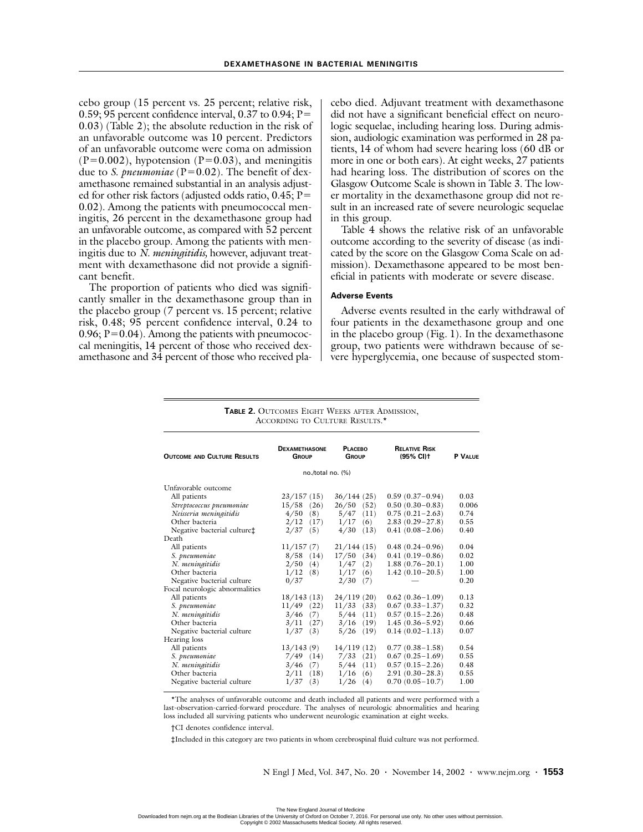cebo group (15 percent vs. 25 percent; relative risk, 0.59; 95 percent confidence interval, 0.37 to 0.94;  $P=$ 0.03) (Table 2); the absolute reduction in the risk of an unfavorable outcome was 10 percent. Predictors of an unfavorable outcome were coma on admission  $(P=0.002)$ , hypotension  $(P=0.03)$ , and meningitis due to *S. pneumoniae* ( $P=0.02$ ). The benefit of dexamethasone remained substantial in an analysis adjusted for other risk factors (adjusted odds ratio,  $0.45$ ; P= 0.02). Among the patients with pneumococcal meningitis, 26 percent in the dexamethasone group had an unfavorable outcome, as compared with 52 percent in the placebo group. Among the patients with meningitis due to *N. meningitidis,* however, adjuvant treatment with dexamethasone did not provide a significant benefit.

The proportion of patients who died was significantly smaller in the dexamethasone group than in the placebo group (7 percent vs. 15 percent; relative risk, 0.48; 95 percent confidence interval, 0.24 to  $0.96$ ;  $P=0.04$ ). Among the patients with pneumococcal meningitis, 14 percent of those who received dexamethasone and 34 percent of those who received placebo died. Adjuvant treatment with dexamethasone did not have a significant beneficial effect on neurologic sequelae, including hearing loss. During admission, audiologic examination was performed in 28 patients, 14 of whom had severe hearing loss (60 dB or more in one or both ears). At eight weeks, 27 patients had hearing loss. The distribution of scores on the Glasgow Outcome Scale is shown in Table 3. The lower mortality in the dexamethasone group did not result in an increased rate of severe neurologic sequelae in this group.

Table 4 shows the relative risk of an unfavorable outcome according to the severity of disease (as indicated by the score on the Glasgow Coma Scale on admission). Dexamethasone appeared to be most beneficial in patients with moderate or severe disease.

#### **Adverse Events**

Adverse events resulted in the early withdrawal of four patients in the dexamethasone group and one in the placebo group (Fig. 1). In the dexamethasone group, two patients were withdrawn because of severe hyperglycemia, one because of suspected stom-

**TABLE 2.** OUTCOMES EIGHT WEEKS AFTER ADMISSION, ACCORDING TO CULTURE RESULTS.\*

| <b>OUTCOME AND CULTURE RESULTS</b> | <b>DEXAMETHASONE</b><br><b>GROUP</b> | <b>PLACEBO</b><br><b>GROUP</b> | <b>RELATIVE RISK</b><br>(95% CI) t | P VALUE |
|------------------------------------|--------------------------------------|--------------------------------|------------------------------------|---------|
|                                    | no./total no. (%)                    |                                |                                    |         |
| Unfavorable outcome                |                                      |                                |                                    |         |
| All patients                       | 23/157(15)                           | 36/144(25)                     | $0.59(0.37-0.94)$                  | 0.03    |
| Streptococcus pneumoniae           | (26)<br>15/58                        | 26/50<br>(52)                  | $0.50(0.30-0.83)$                  | 0.006   |
| Neisseria meningitidis             | 4/50<br>(8)                          | 5/47<br>(11)                   | $0.75(0.21-2.63)$                  | 0.74    |
| Other bacteria                     | 2/12<br>(17)                         | 1/17<br>(6)                    | $2.83(0.29-27.8)$                  | 0.55    |
| Negative bacterial culture‡        | 2/37<br>(5)                          | 4/30<br>(13)                   | $0.41(0.08-2.06)$                  | 0.40    |
| Death                              |                                      |                                |                                    |         |
| All patients                       | 11/157(7)                            | 21/144(15)                     | $0.48(0.24-0.96)$                  | 0.04    |
| S. pneumoniae                      | 8/58<br>(14)                         | 17/50<br>(34)                  | $0.41(0.19-0.86)$                  | 0.02    |
| N. meningitidis                    | 2/50<br>(4)                          | 1/47<br>(2)                    | $1.88(0.76-20.1)$                  | 1.00    |
| Other bacteria                     | 1/12<br>(8)                          | 1/17<br>(6)                    | $1.42(0.10-20.5)$                  | 1.00    |
| Negative bacterial culture         | 0/37                                 | 2/30<br>(7)                    |                                    | 0.20    |
| Focal neurologic abnormalities     |                                      |                                |                                    |         |
| All patients                       | 18/143(13)                           | 24/119(20)                     | $0.62(0.36-1.09)$                  | 0.13    |
| S. pneumoniae                      | 11/49<br>(22)                        | 11/33<br>(33)                  | $0.67(0.33 - 1.37)$                | 0.32    |
| N. meningitidis                    | 3/46<br>(7)                          | (11)<br>5/44                   | $0.57(0.15-2.26)$                  | 0.48    |
| Other bacteria                     | 3/11<br>(27)                         | 3/16<br>(19)                   | $1.45(0.36 - 5.92)$                | 0.66    |
| Negative bacterial culture         | 1/37<br>(3)                          | 5/26<br>(19)                   | $0.14(0.02 - 1.13)$                | 0.07    |
| Hearing loss                       |                                      |                                |                                    |         |
| All patients                       | 13/143(9)                            | 14/119(12)                     | $0.77(0.38-1.58)$                  | 0.54    |
| S. pneumoniae                      | 7/49<br>(14)                         | 7/33<br>(21)                   | $0.67(0.25-1.69)$                  | 0.55    |
| N. meningitidis                    | 3/46<br>(7)                          | (11)<br>5/44                   | $0.57(0.15-2.26)$                  | 0.48    |
| Other bacteria                     | 2/11<br>(18)                         | (6)<br>1/16                    | $2.91(0.30-28.3)$                  | 0.55    |
| Negative bacterial culture         | 1/37<br>(3)                          | 1/26<br>(4)                    | $0.70(0.05 - 10.7)$                | 1.00    |

\*The analyses of unfavorable outcome and death included all patients and were performed with a last-observation-carried-forward procedure. The analyses of neurologic abnormalities and hearing loss included all surviving patients who underwent neurologic examination at eight weeks.

†CI denotes confidence interval.

‡Included in this category are two patients in whom cerebrospinal fluid culture was not performed.

N Engl J Med, Vol. 347, No. 20 **·** November 14, 2002 **·** www.nejm.org **· 1553**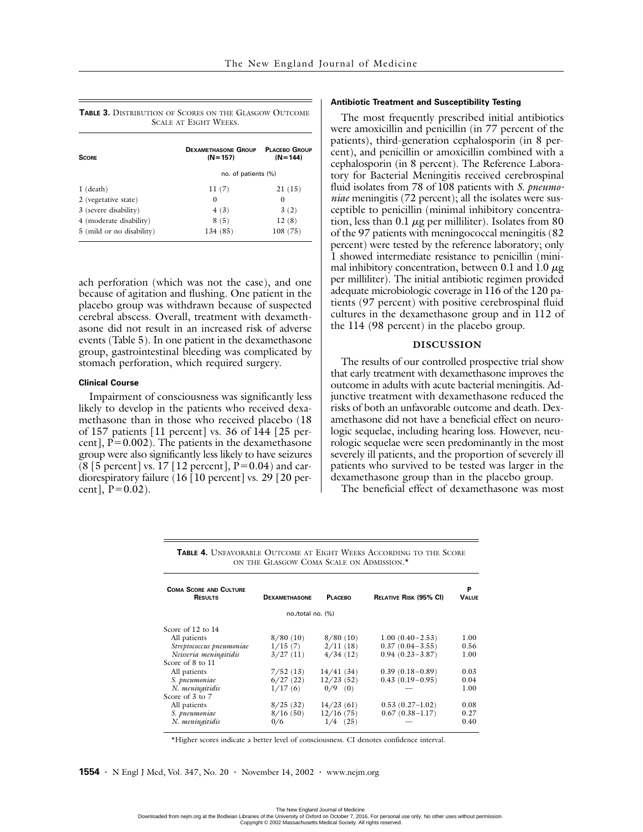| <b>TABLE 3. DISTRIBUTION OF SCORES ON THE GLASGOW OUTCOME</b> |  |
|---------------------------------------------------------------|--|
| <b>SCALE AT EIGHT WEEKS.</b>                                  |  |

| <b>SCORE</b>              | <b>DEXAMETHASONE GROUP</b><br>$(N = 157)$ | <b>PLACEBO GROUP</b><br>$(N = 144)$ |  |  |
|---------------------------|-------------------------------------------|-------------------------------------|--|--|
|                           | no. of patients (%)                       |                                     |  |  |
| $1$ (death)               | 11(7)                                     | 21(15)                              |  |  |
| 2 (vegetative state)      | 0                                         | 0                                   |  |  |
| 3 (severe disability)     | 4(3)                                      | 3(2)                                |  |  |
| 4 (moderate disability)   | 8(5)                                      | 12(8)                               |  |  |
| 5 (mild or no disability) | 134 (85)                                  | 108(75)                             |  |  |

ach perforation (which was not the case), and one because of agitation and flushing. One patient in the placebo group was withdrawn because of suspected cerebral abscess. Overall, treatment with dexamethasone did not result in an increased risk of adverse events (Table 5). In one patient in the dexamethasone group, gastrointestinal bleeding was complicated by stomach perforation, which required surgery.

#### **Clinical Course**

Impairment of consciousness was significantly less likely to develop in the patients who received dexamethasone than in those who received placebo (18 of 157 patients [11 percent] vs. 36 of 144 [25 percent],  $P=0.002$ ). The patients in the dexamethasone group were also significantly less likely to have seizures  $(8 [5 percent] vs. 17 [12 percent], P=0.04)$  and cardiorespiratory failure (16 [10 percent] vs. 29 [20 percent],  $P=0.02$ ).

#### **Antibiotic Treatment and Susceptibility Testing**

The most frequently prescribed initial antibiotics were amoxicillin and penicillin (in 77 percent of the patients), third-generation cephalosporin (in 8 percent), and penicillin or amoxicillin combined with a cephalosporin (in 8 percent). The Reference Laboratory for Bacterial Meningitis received cerebrospinal fluid isolates from 78 of 108 patients with *S. pneumoniae* meningitis (72 percent); all the isolates were susceptible to penicillin (minimal inhibitory concentration, less than 0.1  $\mu$ g per milliliter). Isolates from 80 of the 97 patients with meningococcal meningitis (82 percent) were tested by the reference laboratory; only 1 showed intermediate resistance to penicillin (minimal inhibitory concentration, between 0.1 and 1.0  $\mu$ g per milliliter). The initial antibiotic regimen provided adequate microbiologic coverage in 116 of the 120 patients (97 percent) with positive cerebrospinal fluid cultures in the dexamethasone group and in 112 of the 114 (98 percent) in the placebo group.

## **DISCUSSION**

The results of our controlled prospective trial show that early treatment with dexamethasone improves the outcome in adults with acute bacterial meningitis. Adjunctive treatment with dexamethasone reduced the risks of both an unfavorable outcome and death. Dexamethasone did not have a beneficial effect on neurologic sequelae, including hearing loss. However, neurologic sequelae were seen predominantly in the most severely ill patients, and the proportion of severely ill patients who survived to be tested was larger in the dexamethasone group than in the placebo group.

The beneficial effect of dexamethasone was most

**TABLE 4.** UNFAVORABLE OUTCOME AT EIGHT WEEKS ACCORDING TO THE SCORE ON THE GLASGOW COMA SCALE ON ADMISSION.\*

| <b>COMA SCORE AND CULTURE</b><br><b>RESULTS</b> | <b>DEXAMETHASONE</b> | <b>PLACEBO</b> | <b>RELATIVE RISK (95% CI)</b> | P<br><b>VALUE</b> |
|-------------------------------------------------|----------------------|----------------|-------------------------------|-------------------|
|                                                 | no./total no. (%)    |                |                               |                   |
| Score of $12$ to $14$                           |                      |                |                               |                   |
| All patients                                    | 8/80(10)             | 8/80(10)       | $1.00(0.40-2.53)$             | 1.00              |
| Streptococcus pneumoniae                        | 1/15(7)              | 2/11(18)       | $0.37(0.04-3.55)$             | 0.56              |
| Neisseria meningitidis                          | 3/27(11)             | 4/34(12)       | $0.94(0.23 - 3.87)$           | 1.00              |
| Score of 8 to 11                                |                      |                |                               |                   |
| All patients                                    | 7/52(13)             | 14/41(34)      | $0.39(0.18-0.89)$             | 0.03              |
| S. pneumoniae                                   | 6/27(22)             | 12/23(52)      | $0.43(0.19-0.95)$             | 0.04              |
| N. meningitidis                                 | 1/17(6)              | 0/9<br>(0)     |                               | 1.00              |
| Score of 3 to 7                                 |                      |                |                               |                   |
| All patients                                    | 8/25(32)             | 14/23(61)      | $0.53(0.27-1.02)$             | 0.08              |
| S. pneumoniae                                   | 8/16(50)             | 12/16(75)      | $0.67(0.38 - 1.17)$           | 0.27              |
| N. meningitidis                                 | 0/6                  | 1/4<br>(25)    |                               | 0.40              |

\*Higher scores indicate a better level of consciousness. CI denotes confidence interval.

**1554 ·** N Engl J Med, Vol. 347, No. 20 **·** November 14, 2002 **·** www.nejm.org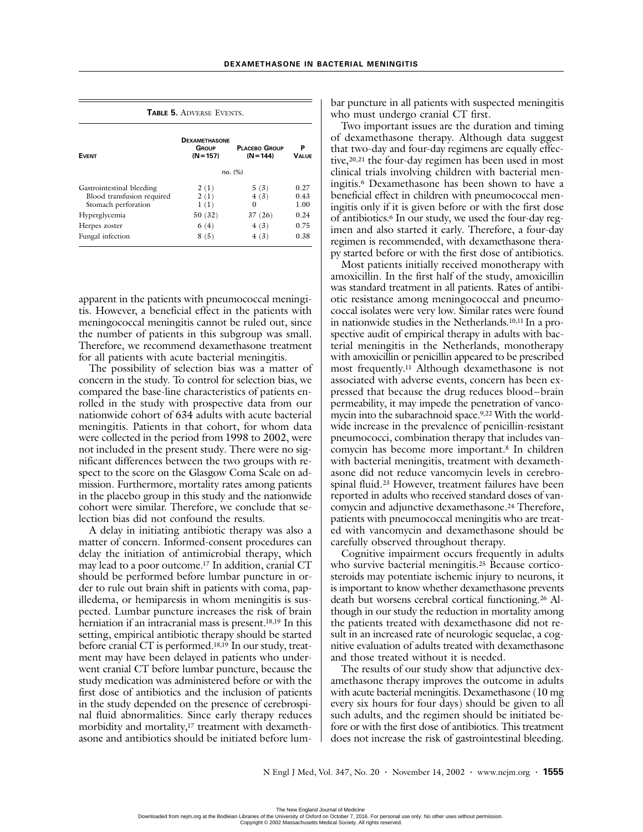| <b>TABLE 5. ADVERSE EVENTS.</b>                                                |                                                     |                                     |                      |
|--------------------------------------------------------------------------------|-----------------------------------------------------|-------------------------------------|----------------------|
| <b>EVENT</b>                                                                   | <b>DEXAMETHASONE</b><br><b>GROUP</b><br>$(N = 157)$ | <b>PLACEBO GROUP</b><br>$(N = 144)$ | Р<br><b>VALUE</b>    |
|                                                                                | no. (%)                                             |                                     |                      |
| Gastrointestinal bleeding<br>Blood transfusion required<br>Stomach perforation | 2(1)<br>2(1)<br>1(1)                                | 5(3)<br>4(3)<br>$\Omega$            | 0.27<br>0.43<br>1.00 |
| Hyperglycemia                                                                  | 50(32)                                              | 37(26)                              | 0.24                 |
| Herpes zoster                                                                  | 6(4)                                                | 4(3)                                | 0.75                 |
| Fungal infection                                                               | 8(5)                                                | 4(3)                                | 0.38                 |

apparent in the patients with pneumococcal meningitis. However, a beneficial effect in the patients with meningococcal meningitis cannot be ruled out, since the number of patients in this subgroup was small. Therefore, we recommend dexamethasone treatment for all patients with acute bacterial meningitis.

The possibility of selection bias was a matter of concern in the study. To control for selection bias, we compared the base-line characteristics of patients enrolled in the study with prospective data from our nationwide cohort of 634 adults with acute bacterial meningitis. Patients in that cohort, for whom data were collected in the period from 1998 to 2002, were not included in the present study. There were no significant differences between the two groups with respect to the score on the Glasgow Coma Scale on admission. Furthermore, mortality rates among patients in the placebo group in this study and the nationwide cohort were similar. Therefore, we conclude that selection bias did not confound the results.

A delay in initiating antibiotic therapy was also a matter of concern. Informed-consent procedures can delay the initiation of antimicrobial therapy, which may lead to a poor outcome.17 In addition, cranial CT should be performed before lumbar puncture in order to rule out brain shift in patients with coma, papilledema, or hemiparesis in whom meningitis is suspected. Lumbar puncture increases the risk of brain herniation if an intracranial mass is present.<sup>18,19</sup> In this setting, empirical antibiotic therapy should be started before cranial CT is performed.18,19 In our study, treatment may have been delayed in patients who underwent cranial CT before lumbar puncture, because the study medication was administered before or with the first dose of antibiotics and the inclusion of patients in the study depended on the presence of cerebrospinal fluid abnormalities. Since early therapy reduces morbidity and mortality,<sup>17</sup> treatment with dexamethasone and antibiotics should be initiated before lum-

bar puncture in all patients with suspected meningitis who must undergo cranial CT first.

Two important issues are the duration and timing of dexamethasone therapy. Although data suggest that two-day and four-day regimens are equally effective,<sup>20,21</sup> the four-day regimen has been used in most clinical trials involving children with bacterial meningitis.6 Dexamethasone has been shown to have a beneficial effect in children with pneumococcal meningitis only if it is given before or with the first dose of antibiotics.6 In our study, we used the four-day regimen and also started it early. Therefore, a four-day regimen is recommended, with dexamethasone therapy started before or with the first dose of antibiotics.

Most patients initially received monotherapy with amoxicillin. In the first half of the study, amoxicillin was standard treatment in all patients. Rates of antibiotic resistance among meningococcal and pneumococcal isolates were very low. Similar rates were found in nationwide studies in the Netherlands.10,11 In a prospective audit of empirical therapy in adults with bacterial meningitis in the Netherlands, monotherapy with amoxicillin or penicillin appeared to be prescribed most frequently.11 Although dexamethasone is not associated with adverse events, concern has been expressed that because the drug reduces blood–brain permeability, it may impede the penetration of vancomycin into the subarachnoid space.9,22 With the worldwide increase in the prevalence of penicillin-resistant pneumococci, combination therapy that includes vancomycin has become more important.8 In children with bacterial meningitis, treatment with dexamethasone did not reduce vancomycin levels in cerebrospinal fluid.23 However, treatment failures have been reported in adults who received standard doses of vancomycin and adjunctive dexamethasone.24 Therefore, patients with pneumococcal meningitis who are treated with vancomycin and dexamethasone should be carefully observed throughout therapy.

Cognitive impairment occurs frequently in adults who survive bacterial meningitis.25 Because corticosteroids may potentiate ischemic injury to neurons, it is important to know whether dexamethasone prevents death but worsens cerebral cortical functioning.26 Although in our study the reduction in mortality among the patients treated with dexamethasone did not result in an increased rate of neurologic sequelae, a cognitive evaluation of adults treated with dexamethasone and those treated without it is needed.

The results of our study show that adjunctive dexamethasone therapy improves the outcome in adults with acute bacterial meningitis. Dexamethasone (10 mg every six hours for four days) should be given to all such adults, and the regimen should be initiated before or with the first dose of antibiotics. This treatment does not increase the risk of gastrointestinal bleeding.